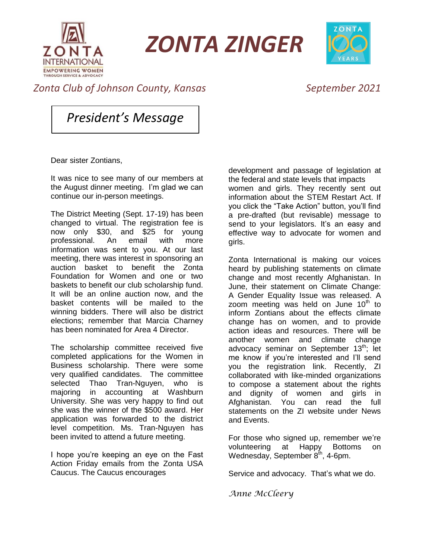

*ZONTA ZINGER*



## *Zonta Club of Johnson County, Kansas September 2021*

*President's Message*

Dear sister Zontians,

It was nice to see many of our members at the August dinner meeting. I'm glad we can continue our in-person meetings.

The District Meeting (Sept. 17-19) has been changed to virtual. The registration fee is now only \$30, and \$25 for young professional. An email with more information was sent to you. At our last meeting, there was interest in sponsoring an auction basket to benefit the Zonta Foundation for Women and one or two baskets to benefit our club scholarship fund. It will be an online auction now, and the basket contents will be mailed to the winning bidders. There will also be district elections; remember that Marcia Charney has been nominated for Area 4 Director.

The scholarship committee received five completed applications for the Women in Business scholarship. There were some very qualified candidates. The committee selected Thao Tran-Nguyen, who is majoring in accounting at Washburn University. She was very happy to find out she was the winner of the \$500 award. Her application was forwarded to the district level competition. Ms. Tran-Nguyen has been invited to attend a future meeting.

I hope you're keeping an eye on the Fast Action Friday emails from the Zonta USA Caucus. The Caucus encourages

development and passage of legislation at the federal and state levels that impacts women and girls. They recently sent out information about the STEM Restart Act. If you click the "Take Action" button, you'll find a pre-drafted (but revisable) message to send to your legislators. It's an easy and effective way to advocate for women and girls.

Zonta International is making our voices heard by publishing statements on climate change and most recently Afghanistan. In June, their statement on Climate Change: A Gender Equality Issue was released. A zoom meeting was held on June  $10<sup>th</sup>$  to inform Zontians about the effects climate change has on women, and to provide action ideas and resources. There will be another women and climate change advocacy seminar on September 13<sup>th</sup>; let me know if you're interested and I'll send you the registration link. Recently, ZI collaborated with like-minded organizations to compose a statement about the rights and dignity of women and girls in Afghanistan. You can read the full statements on the ZI website under News and Events.

For those who signed up, remember we're volunteering at Happy Bottoms on Wednesday, September 8<sup>th</sup>, 4-6pm.

Service and advocacy. That's what we do.

*Anne McCleery*